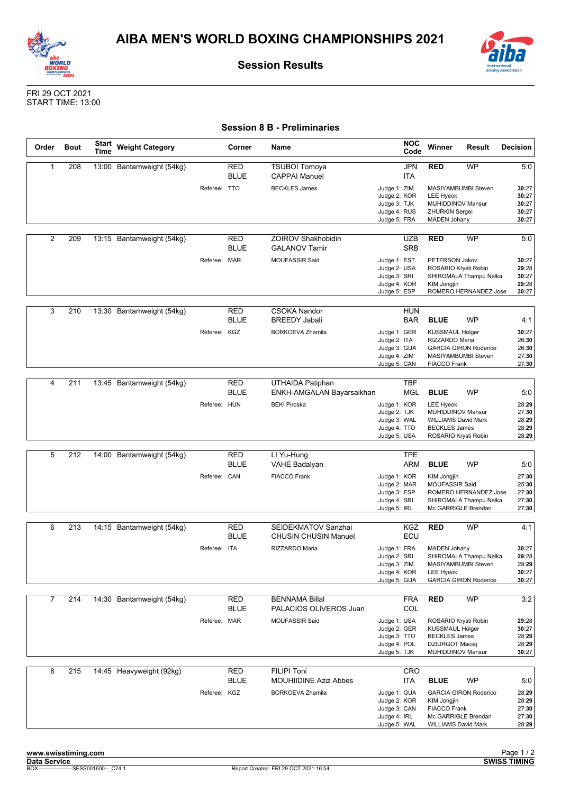



**Session Results**

FRI 29 OCT 2021 START TIME: 13:00

## **Session 8 B - Preliminaries**

| Order          | <b>Bout</b> | <b>Start</b><br>Time | <b>Weight Category</b>    |              | Corner                    | Name                                                 | <b>NOC</b><br>Code                                                           | Winner                                                                                                                | Result                                                                        | <b>Decision</b>                           |
|----------------|-------------|----------------------|---------------------------|--------------|---------------------------|------------------------------------------------------|------------------------------------------------------------------------------|-----------------------------------------------------------------------------------------------------------------------|-------------------------------------------------------------------------------|-------------------------------------------|
| $\mathbf{1}$   | 208         | 13:00                | Bantamweight (54kg)       |              | <b>RED</b><br><b>BLUE</b> | <b>TSUBOI Tomoya</b><br><b>CAPPAI Manuel</b>         | <b>JPN</b><br>ITA                                                            | <b>RED</b>                                                                                                            | <b>WP</b>                                                                     | 5:0                                       |
|                |             |                      |                           | Referee: TTO |                           | <b>BECKLES James</b>                                 | Judge 1: ZIM<br>Judge 2: KOR<br>Judge 3: TJK<br>Judge 4: RUS<br>Judge 5: FRA | <b>LEE Hyeok</b><br>MUHIDDINOV Mansur<br><b>ZHURKIN Sergei</b><br><b>MADEN Johany</b>                                 | MASIYAMBUMBI Steven                                                           | 30:27<br>30:27<br>30:27<br>30:27<br>30:27 |
| $\overline{2}$ | 209         |                      | 13:15 Bantamweight (54kg) |              | <b>RED</b><br><b>BLUE</b> | <b>ZOIROV Shakhobidin</b><br><b>GALANOV Tamir</b>    | <b>UZB</b><br><b>SRB</b>                                                     | <b>RED</b>                                                                                                            | <b>WP</b>                                                                     | 5:0                                       |
|                |             |                      |                           | Referee: MAR |                           | <b>MOUFASSIR Said</b>                                | Judge 1: EST<br>Judge 2: USA<br>Judge 3: SRI<br>Judge 4: KOR<br>Judge 5: ESP | PETERSON Jakov<br>ROSARIO Krysti Robin<br><b>KIM Jongjin</b>                                                          | SHIROMALA Thampu Nelka<br>ROMERO HERNANDEZ Jose                               | 30:27<br>29:28<br>30:27<br>29:28<br>30:27 |
| 3              | 210         |                      | 13:30 Bantamweight (54kg) |              | <b>RED</b><br><b>BLUE</b> | <b>CSOKA Nandor</b><br><b>BREEDY Jabali</b>          | <b>HUN</b><br><b>BAR</b>                                                     | <b>BLUE</b>                                                                                                           | <b>WP</b>                                                                     | 4:1                                       |
|                |             |                      |                           | Referee: KGZ |                           | <b>BORKOEVA Zhamila</b>                              | Judge 1: GER<br>Judge 2: ITA<br>Judge 3: GUA<br>Judge 4: ZIM<br>Judge 5: CAN | <b>KUSSMAUL Holger</b><br>RIZZARDO Maria<br><b>FIACCO Frank</b>                                                       | <b>GARCIA GIRON Roderico</b><br>MASIYAMBUMBI Steven                           | 30:27<br>26:30<br>26:30<br>27:30<br>27:30 |
|                |             |                      |                           |              |                           |                                                      |                                                                              |                                                                                                                       |                                                                               |                                           |
| 4              | 211         |                      | 13:45 Bantamweight (54kg) |              | <b>RED</b><br><b>BLUE</b> | <b>UTHAIDA Patiphan</b><br>ENKH-AMGALAN Bayarsaikhan | TBF<br><b>MGL</b>                                                            | <b>BLUE</b>                                                                                                           | <b>WP</b>                                                                     | 5:0                                       |
|                |             |                      |                           | Referee: HUN |                           | <b>BEKI Piroska</b>                                  | Judge 1: KOR<br>Judge 2: TJK<br>Judge 3: WAL<br>Judge 4: TTO<br>Judge 5: USA | <b>LEE Hyeok</b><br>MUHIDDINOV Mansur<br><b>WILLIAMS David Mark</b><br><b>BECKLES James</b><br>ROSARIO Krysti Robin   |                                                                               | 28:29<br>27:30<br>28:29<br>28:29<br>28:29 |
|                |             |                      |                           |              |                           |                                                      |                                                                              |                                                                                                                       |                                                                               |                                           |
| 5              | 212         |                      | 14:00 Bantamweight (54kg) |              | <b>RED</b><br><b>BLUE</b> | LI Yu-Hung<br><b>VAHE Badalyan</b>                   | <b>TPE</b><br>ARM                                                            | <b>BLUE</b>                                                                                                           | <b>WP</b>                                                                     | 5:0                                       |
|                |             |                      |                           | Referee: CAN |                           | <b>FIACCO Frank</b>                                  | Judge 1: KOR<br>Judge 2: MAR<br>Judge 3: ESP<br>Judge 4: SRI<br>Judge 5: IRL | KIM Jongjin<br><b>MOUFASSIR Said</b>                                                                                  | ROMERO HERNANDEZ Jose<br>SHIROMALA Thampu Nelka<br>Mc GARRIGLE Brendan        | 27:30<br>25:30<br>27:30<br>27:30<br>27:30 |
|                |             |                      |                           |              |                           |                                                      |                                                                              |                                                                                                                       |                                                                               |                                           |
| 6              | 213         |                      | 14:15 Bantamweight (54kg) |              | <b>RED</b><br><b>BLUE</b> | SEIDEKMATOV Sanzhai<br><b>CHUSIN CHUSIN Manuel</b>   | KGZ<br>ECU                                                                   | <b>RED</b>                                                                                                            | <b>WP</b>                                                                     | 4:1                                       |
|                |             |                      |                           | Referee: ITA |                           | RIZZARDO Maria                                       | Judge 1: FRA<br>Judge 2: SRI<br>Judge 3: ZIM<br>Judge 4: KOR<br>Judge 5: GUA | <b>MADEN Johany</b><br><b>LEE Hyeok</b>                                                                               | SHIROMALA Thampu Nelka<br>MASIYAMBUMBI Steven<br><b>GARCIA GIRON Roderico</b> | 30:27<br>29:28<br>28:29<br>30:27<br>30:27 |
| 7              | 214         |                      |                           |              |                           | <b>BENNAMA Billal</b>                                |                                                                              | <b>RED</b>                                                                                                            |                                                                               |                                           |
|                |             |                      | 14:30 Bantamweight (54kg) |              | RED<br><b>BLUE</b>        | PALACIOS OLIVEROS Juan                               | <b>FRA</b><br>COL                                                            |                                                                                                                       | WP                                                                            | 3:2                                       |
|                |             |                      |                           | Referee: MAR |                           | <b>MOUFASSIR Said</b>                                | Judge 1: USA<br>Judge 2: GER<br>Judge 3: TTO<br>Judge 4: POL<br>Judge 5: TJK | ROSARIO Krysti Robin<br><b>KUSSMAUL Holger</b><br><b>BECKLES James</b><br><b>DZIURGOT Maciej</b><br>MUHIDDINOV Mansur |                                                                               | 29:28<br>30:27<br>28:29<br>28:29<br>30:27 |
| 8              | 215         |                      | 14:45 Heavyweight (92kg)  |              | RED<br><b>BLUE</b>        | <b>FILIPI Toni</b><br>MOUHIIDINE Aziz Abbes          | CRO<br>ITA                                                                   | <b>BLUE</b>                                                                                                           | WP                                                                            | 5:0                                       |
|                |             |                      |                           | Referee: KGZ |                           | <b>BORKOEVA Zhamila</b>                              | Judge 1: GUA<br>Judge 2: KOR<br>Judge 3: CAN<br>Judge 4: IRL<br>Judge 5: WAL | KIM Jongjin<br><b>FIACCO Frank</b><br><b>WILLIAMS David Mark</b>                                                      | <b>GARCIA GIRON Roderico</b><br>Mc GARRIGLE Brendan                           | 28:29<br>28:29<br>27:30<br>27:30<br>28:29 |